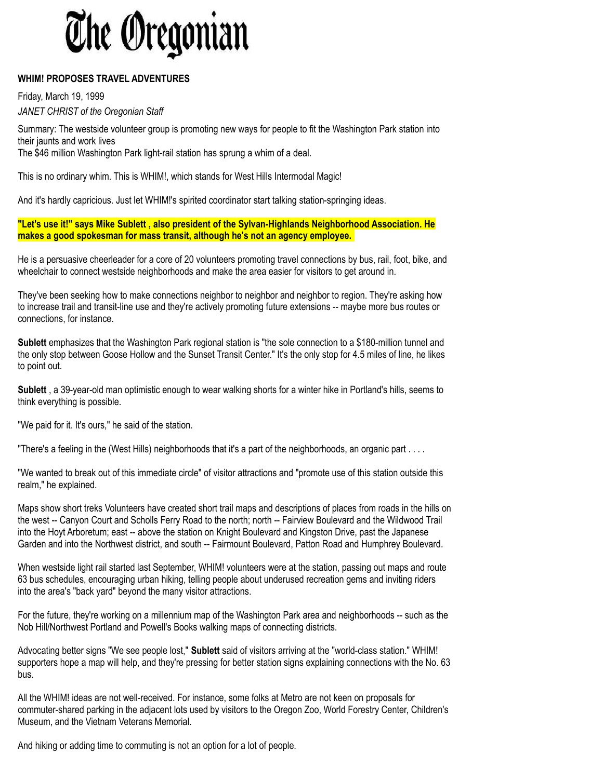

## **WHIM! PROPOSES TRAVEL ADVENTURES**

Friday, March 19, 1999 *JANET CHRIST of the Oregonian Staff*

Summary: The westside volunteer group is promoting new ways for people to fit the Washington Park station into their jaunts and work lives The \$46 million Washington Park light-rail station has sprung a whim of a deal.

This is no ordinary whim. This is WHIM!, which stands for West Hills Intermodal Magic!

And it's hardly capricious. Just let WHIM!'s spirited coordinator start talking station-springing ideas.

**"Let's use it!" says Mike Sublett , also president of the Sylvan-Highlands Neighborhood Association. He makes a good spokesman for mass transit, although he's not an agency employee.**

He is a persuasive cheerleader for a core of 20 volunteers promoting travel connections by bus, rail, foot, bike, and wheelchair to connect westside neighborhoods and make the area easier for visitors to get around in.

They've been seeking how to make connections neighbor to neighbor and neighbor to region. They're asking how to increase trail and transit-line use and they're actively promoting future extensions -- maybe more bus routes or connections, for instance.

**Sublett** emphasizes that the Washington Park regional station is "the sole connection to a \$180-million tunnel and the only stop between Goose Hollow and the Sunset Transit Center." It's the only stop for 4.5 miles of line, he likes to point out.

**Sublett** , a 39-year-old man optimistic enough to wear walking shorts for a winter hike in Portland's hills, seems to think everything is possible.

"We paid for it. It's ours," he said of the station.

"There's a feeling in the (West Hills) neighborhoods that it's a part of the neighborhoods, an organic part . . . .

"We wanted to break out of this immediate circle" of visitor attractions and "promote use of this station outside this realm," he explained.

Maps show short treks Volunteers have created short trail maps and descriptions of places from roads in the hills on the west -- Canyon Court and Scholls Ferry Road to the north; north -- Fairview Boulevard and the Wildwood Trail into the Hoyt Arboretum; east -- above the station on Knight Boulevard and Kingston Drive, past the Japanese Garden and into the Northwest district, and south -- Fairmount Boulevard, Patton Road and Humphrey Boulevard.

When westside light rail started last September, WHIM! volunteers were at the station, passing out maps and route 63 bus schedules, encouraging urban hiking, telling people about underused recreation gems and inviting riders into the area's "back yard" beyond the many visitor attractions.

For the future, they're working on a millennium map of the Washington Park area and neighborhoods -- such as the Nob Hill/Northwest Portland and Powell's Books walking maps of connecting districts.

Advocating better signs "We see people lost," **Sublett** said of visitors arriving at the "world-class station." WHIM! supporters hope a map will help, and they're pressing for better station signs explaining connections with the No. 63 bus.

All the WHIM! ideas are not well-received. For instance, some folks at Metro are not keen on proposals for commuter-shared parking in the adjacent lots used by visitors to the Oregon Zoo, World Forestry Center, Children's Museum, and the Vietnam Veterans Memorial.

And hiking or adding time to commuting is not an option for a lot of people.